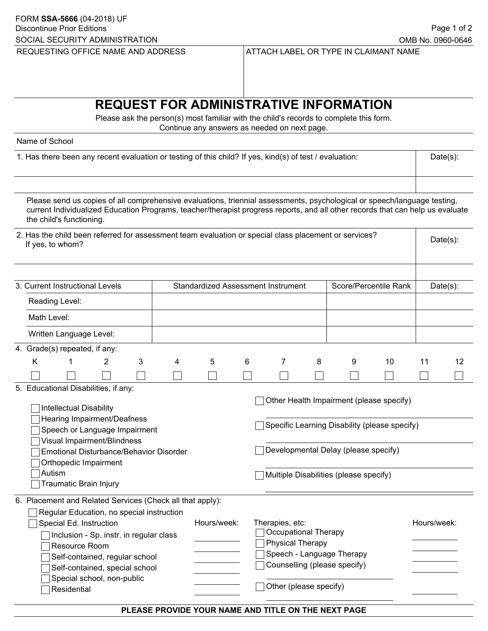## **REQUEST FOR ADMINISTRATIVE INFORMATION**

Please ask the person(s) most familiar with the child's records to complete this form. Continue any answers as needed on next page.

Name of School

| 1. Has there been any recent evaluation or testing of this child? If yes, kind(s) of test / evaluation: | Date(s): |
|---------------------------------------------------------------------------------------------------------|----------|
|---------------------------------------------------------------------------------------------------------|----------|

| Please send us copies of all comprehensive evaluations, triennial assessments, psychological or speech/language testing,<br>current Individualized Education Programs, teacher/therapist progress reports, and all other records that can help us evaluate<br>the child's functioning.                          |                               |              |                |   |                                           |                                                                                                                                                                             |                                                                                                                                     |   |                           |                       |             |    |    |
|-----------------------------------------------------------------------------------------------------------------------------------------------------------------------------------------------------------------------------------------------------------------------------------------------------------------|-------------------------------|--------------|----------------|---|-------------------------------------------|-----------------------------------------------------------------------------------------------------------------------------------------------------------------------------|-------------------------------------------------------------------------------------------------------------------------------------|---|---------------------------|-----------------------|-------------|----|----|
| 2. Has the child been referred for assessment team evaluation or special class placement or services?<br>If yes, to whom?                                                                                                                                                                                       |                               |              |                |   |                                           |                                                                                                                                                                             |                                                                                                                                     |   |                           | Date(s):              |             |    |    |
| 3. Current Instructional Levels                                                                                                                                                                                                                                                                                 |                               |              |                |   | <b>Standardized Assessment Instrument</b> |                                                                                                                                                                             |                                                                                                                                     |   |                           | Score/Percentile Rank | $Date(s)$ : |    |    |
|                                                                                                                                                                                                                                                                                                                 | Reading Level:                |              |                |   |                                           |                                                                                                                                                                             |                                                                                                                                     |   |                           |                       |             |    |    |
|                                                                                                                                                                                                                                                                                                                 | Math Level:                   |              |                |   |                                           |                                                                                                                                                                             |                                                                                                                                     |   |                           |                       |             |    |    |
|                                                                                                                                                                                                                                                                                                                 | Written Language Level:       |              |                |   |                                           |                                                                                                                                                                             |                                                                                                                                     |   |                           |                       |             |    |    |
|                                                                                                                                                                                                                                                                                                                 | 4. Grade(s) repeated, if any: |              |                |   |                                           |                                                                                                                                                                             |                                                                                                                                     |   |                           |                       |             |    |    |
|                                                                                                                                                                                                                                                                                                                 | Κ                             | $\mathbf{1}$ | $\overline{2}$ | 3 | 4                                         | 5                                                                                                                                                                           | 6                                                                                                                                   | 7 | 8                         | 9                     | 10          | 11 | 12 |
|                                                                                                                                                                                                                                                                                                                 |                               |              |                |   |                                           |                                                                                                                                                                             |                                                                                                                                     |   |                           |                       |             |    |    |
| 5. Educational Disabilities, if any:<br><b>Intellectual Disability</b><br>Hearing Impairment/Deafness<br>Speech or Language Impairment<br>Visual Impairment/Blindness<br>Emotional Disturbance/Behavior Disorder<br>Orthopedic Impairment<br>Autism<br>Traumatic Brain Injury                                   |                               |              |                |   |                                           | Other Health Impairment (please specify)<br>Specific Learning Disability (please specify)<br>Developmental Delay (please specify)<br>Multiple Disabilities (please specify) |                                                                                                                                     |   |                           |                       |             |    |    |
| 6. Placement and Related Services (Check all that apply):<br>Regular Education, no special instruction<br>Special Ed. Instruction<br>ヿInclusion - Sp. instr. in regular class<br>Resource Room<br>Self-contained, regular school<br>Self-contained, special school<br>Special school, non-public<br>Residential |                               |              |                |   | Hours/week:                               |                                                                                                                                                                             | Therapies, etc:<br><b>Occupational Therapy</b><br><b>Physical Therapy</b><br>Counselling (please specify)<br>Other (please specify) |   | Speech - Language Therapy |                       | Hours/week: |    |    |

## **PLEASE PROVIDE YOUR NAME AND TITLE ON THE NEXT PAGE**